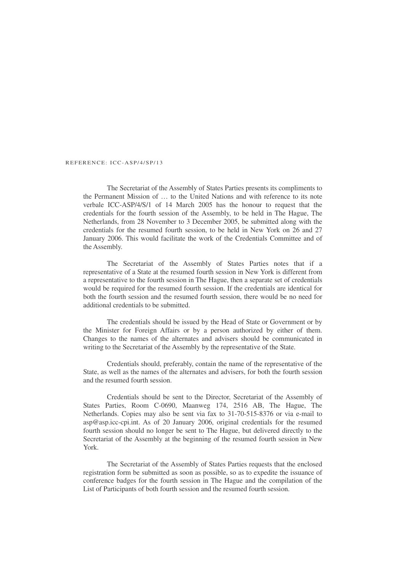## REFERENCE: ICC-ASP/4/SP/13

The Secretariat of the Assembly of States Parties presents its compliments to the Permanent Mission of … to the United Nations and with reference to its note verbale ICC-ASP/4/S/1 of 14 March 2005 has the honour to request that the credentials for the fourth session of the Assembly, to be held in The Hague, The Netherlands, from 28 November to 3 December 2005, be submitted along with the credentials for the resumed fourth session, to be held in New York on 26 and 27 January 2006. This would facilitate the work of the Credentials Committee and of the Assembly.

The Secretariat of the Assembly of States Parties notes that if a representative of a State at the resumed fourth session in New York is different from a representative to the fourth session in The Hague, then a separate set of credentials would be required for the resumed fourth session. If the credentials are identical for both the fourth session and the resumed fourth session, there would be no need for additional credentials to be submitted.

The credentials should be issued by the Head of State or Government or by the Minister for Foreign Affairs or by a person authorized by either of them. Changes to the names of the alternates and advisers should be communicated in writing to the Secretariat of the Assembly by the representative of the State.

Credentials should, preferably, contain the name of the representative of the State, as well as the names of the alternates and advisers, for both the fourth session and the resumed fourth session.

Credentials should be sent to the Director, Secretariat of the Assembly of States Parties, Room C-0690, Maanweg 174, 2516 AB, The Hague, The Netherlands. Copies may also be sent via fax to 31-70-515-8376 or via e-mail to asp@asp.icc-cpi.int. As of 20 January 2006, original credentials for the resumed fourth session should no longer be sent to The Hague, but delivered directly to the Secretariat of the Assembly at the beginning of the resumed fourth session in New York.

The Secretariat of the Assembly of States Parties requests that the enclosed registration form be submitted as soon as possible, so as to expedite the issuance of conference badges for the fourth session in The Hague and the compilation of the List of Participants of both fourth session and the resumed fourth session.